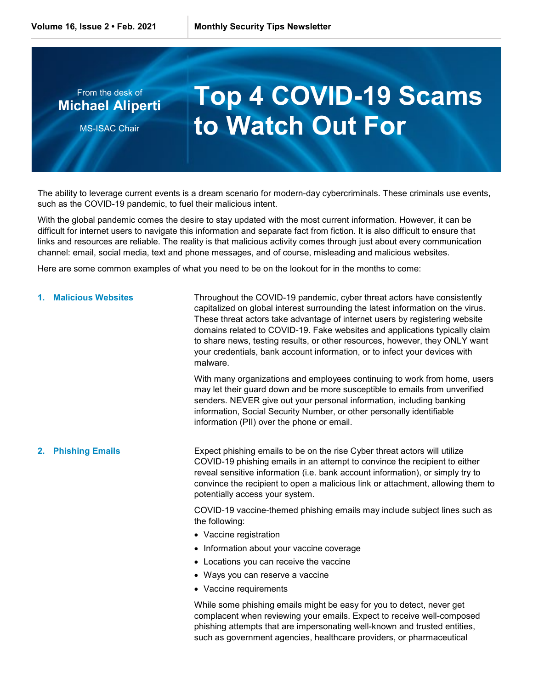

The ability to leverage current events is a dream scenario for modern-day cybercriminals. These criminals use events, such as the COVID-19 pandemic, to fuel their malicious intent.

With the global pandemic comes the desire to stay updated with the most current information. However, it can be difficult for internet users to navigate this information and separate fact from fiction. It is also difficult to ensure that links and resources are reliable. The reality is that malicious activity comes through just about every communication channel: email, social media, text and phone messages, and of course, misleading and malicious websites.

Here are some common examples of what you need to be on the lookout for in the months to come:

|    | 1. Malicious Websites  | Throughout the COVID-19 pandemic, cyber threat actors have consistently<br>capitalized on global interest surrounding the latest information on the virus.<br>These threat actors take advantage of internet users by registering website<br>domains related to COVID-19. Fake websites and applications typically claim<br>to share news, testing results, or other resources, however, they ONLY want<br>your credentials, bank account information, or to infect your devices with<br>malware. |
|----|------------------------|---------------------------------------------------------------------------------------------------------------------------------------------------------------------------------------------------------------------------------------------------------------------------------------------------------------------------------------------------------------------------------------------------------------------------------------------------------------------------------------------------|
|    |                        | With many organizations and employees continuing to work from home, users<br>may let their guard down and be more susceptible to emails from unverified<br>senders. NEVER give out your personal information, including banking<br>information, Social Security Number, or other personally identifiable<br>information (PII) over the phone or email.                                                                                                                                            |
| 2. | <b>Phishing Emails</b> | Expect phishing emails to be on the rise Cyber threat actors will utilize<br>COVID-19 phishing emails in an attempt to convince the recipient to either<br>reveal sensitive information (i.e. bank account information), or simply try to<br>convince the recipient to open a malicious link or attachment, allowing them to<br>potentially access your system.                                                                                                                                   |
|    |                        | COVID-19 vaccine-themed phishing emails may include subject lines such as<br>the following:<br>• Vaccine registration<br>• Information about your vaccine coverage<br>• Locations you can receive the vaccine<br>• Ways you can reserve a vaccine                                                                                                                                                                                                                                                 |
|    |                        | • Vaccine requirements                                                                                                                                                                                                                                                                                                                                                                                                                                                                            |

While some phishing emails might be easy for you to detect, never get complacent when reviewing your emails. Expect to receive well-composed phishing attempts that are impersonating well-known and trusted entities, such as government agencies, healthcare providers, or pharmaceutical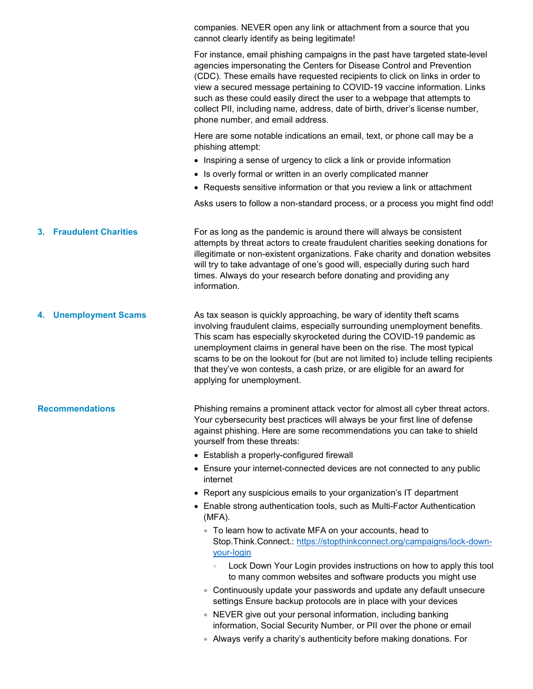companies. NEVER open any link or attachment from a source that you cannot clearly identify as being legitimate!

For instance, email phishing campaigns in the past have targeted state-level agencies impersonating the Centers for Disease Control and Prevention (CDC). These emails have requested recipients to click on links in order to view a secured message pertaining to COVID-19 vaccine information. Links such as these could easily direct the user to a webpage that attempts to collect PII, including name, address, date of birth, driver's license number, phone number, and email address.

Here are some notable indications an email, text, or phone call may be a phishing attempt:

- Inspiring a sense of urgency to click a link or provide information
- Is overly formal or written in an overly complicated manner
- Requests sensitive information or that you review a link or attachment

Asks users to follow a non-standard process, or a process you might find odd!

**3. Fraudulent Charities** For as long as the pandemic is around there will always be consistent attempts by threat actors to create fraudulent charities seeking donations for illegitimate or non-existent organizations. Fake charity and donation websites will try to take advantage of one's good will, especially during such hard times. Always do your research before donating and providing any information.

**4. Unemployment Scams** As tax season is quickly approaching, be wary of identity theft scams involving fraudulent claims, especially surrounding unemployment benefits. This scam has especially skyrocketed during the COVID-19 pandemic as unemployment claims in general have been on the rise. The most typical scams to be on the lookout for (but are not limited to) include telling recipients that they've won contests, a cash prize, or are eligible for an award for applying for unemployment.

**Recommendations** Phishing remains a prominent attack vector for almost all cyber threat actors. Your cybersecurity best practices will always be your first line of defense against phishing. Here are some recommendations you can take to shield yourself from these threats:

- Establish a properly-configured firewall
- Ensure your internet-connected devices are not connected to any public internet
- Report any suspicious emails to your organization's IT department
- Enable strong authentication tools, such as Multi-Factor Authentication (MFA).
	- To learn how to activate MFA on your accounts, head to Stop.Think.Connect.: [https://stopthinkconnect.org/campaigns/lock-down](https://stopthinkconnect.org/campaigns/lock-down-your-login)[your-login](https://stopthinkconnect.org/campaigns/lock-down-your-login)
		- Lock Down Your Login provides instructions on how to apply this tool to many common websites and software products you might use
	- Continuously update your passwords and update any default unsecure settings Ensure backup protocols are in place with your devices
	- NEVER give out your personal information, including banking information, Social Security Number, or PII over the phone or email
	- Always verify a charity's authenticity before making donations. For